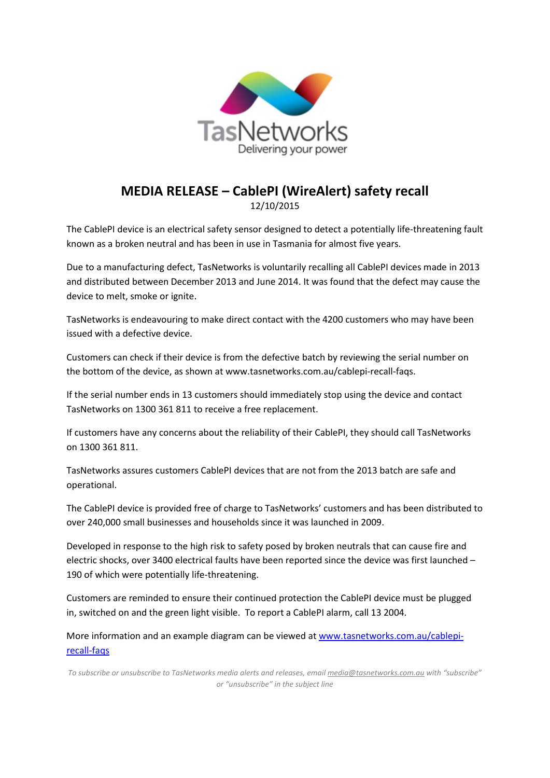

## **MEDIA RELEASE – CablePI (WireAlert) safety recall**

12/10/2015

The CablePI device is an electrical safety sensor designed to detect a potentially life-threatening fault known as a broken neutral and has been in use in Tasmania for almost five years.

Due to a manufacturing defect, TasNetworks is voluntarily recalling all CablePI devices made in 2013 and distributed between December 2013 and June 2014. It was found that the defect may cause the device to melt, smoke or ignite.

TasNetworks is endeavouring to make direct contact with the 4200 customers who may have been issued with a defective device.

Customers can check if their device is from the defective batch by reviewing the serial number on the bottom of the device, as shown at www.tasnetworks.com.au/cablepi-recall-faqs.

If the serial number ends in 13 customers should immediately stop using the device and contact TasNetworks on 1300 361 811 to receive a free replacement.

If customers have any concerns about the reliability of their CablePI, they should call TasNetworks on 1300 361 811.

TasNetworks assures customers CablePI devices that are not from the 2013 batch are safe and operational.

The CablePI device is provided free of charge to TasNetworks' customers and has been distributed to over 240,000 small businesses and households since it was launched in 2009.

Developed in response to the high risk to safety posed by broken neutrals that can cause fire and electric shocks, over 3400 electrical faults have been reported since the device was first launched – 190 of which were potentially life-threatening.

Customers are reminded to ensure their continued protection the CablePI device must be plugged in, switched on and the green light visible. To report a CablePI alarm, call 13 2004.

More information and an example diagram can be viewed at [www.tasnetworks.com.au/cablepi](http://www.tasnetworks.com.au/cablepi-recall-faqs)[recall-faqs](http://www.tasnetworks.com.au/cablepi-recall-faqs)

*To subscribe or unsubscribe to TasNetworks media alerts and releases, emai[l media@tasnetworks.com.au](mailto:media@tasnetworks.com.au) with "subscribe" or "unsubscribe" in the subject line*